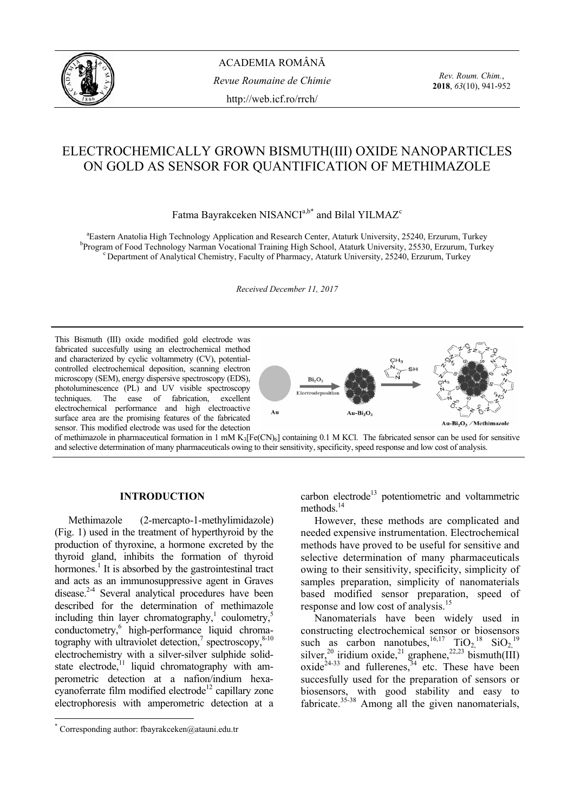

ACADEMIA ROMÂNĂ *Revue Roumaine de Chimie*  http://web.icf.ro/rrch/

*Rev. Roum. Chim.*, **2018**, *63*(10), 941-952

# ELECTROCHEMICALLY GROWN BISMUTH(III) OXIDE NANOPARTICLES ON GOLD AS SENSOR FOR QUANTIFICATION OF METHIMAZOLE

Fatma Bayrakceken NISANCI $a,b^*$  and Bilal YILMAZ<sup>c</sup>

<sup>a</sup> Eastern Anatolia High Technology Application and Research Center, Ataturk University, 25240, Erzurum, Turkey <sup>b</sup>Program of Food Technology Narman Vocational Training High School, Ataturk University, 25530, Erzurum, Turkey <sup>c</sup> Department of Analytical Chemistry, Faculty of Pharmacy, Ataturk University, 25240, Erzurum, Turkey

*Received December 11, 2017* 



of methimazole in pharmaceutical formation in 1 mM  $K_3[Fe(CN)_6]$  containing 0.1 M KCl. The fabricated sensor can be used for sensitive and selective determination of many pharmaceuticals owing to their sensitivity, specificity, speed response and low cost of analysis.

## **INTRODUCTION\***

Methimazole (2-mercapto-1-methylimidazole) (Fig. 1) used in the treatment of hyperthyroid by the production of thyroxine, a hormone excreted by the thyroid gland, inhibits the formation of thyroid hormones.<sup>1</sup> It is absorbed by the gastrointestinal tract and acts as an immunosuppressive agent in Graves disease.<sup>2-4</sup> Several analytical procedures have been described for the determination of methimazole including thin layer chromatography,<sup>1</sup> coulometry,<sup>5</sup> conductometry,<sup>6</sup> high-performance liquid chromatography with ultraviolet detection,<sup>7</sup> spectroscopy, $8-10$ electrochemistry with a silver-silver sulphide solidstate electrode, $\frac{1}{11}$  liquid chromatography with amperometric detection at a nafion/indium hexacyanoferrate film modified electrode<sup>12</sup> capillary zone electrophoresis with amperometric detection at a

 $\overline{a}$ 

carbon electrode<sup>13</sup> potentiometric and voltammetric methods.<sup>14</sup>

However, these methods are complicated and needed expensive instrumentation. Electrochemical methods have proved to be useful for sensitive and selective determination of many pharmaceuticals owing to their sensitivity, specificity, simplicity of samples preparation, simplicity of nanomaterials based modified sensor preparation, speed of response and low cost of analysis.<sup>15</sup>

Nanomaterials have been widely used in constructing electrochemical sensor or biosensors such as carbon nanotubes,  ${}^{16,17}$  TiO<sub>2</sub>,  ${}^{18}$  SiO<sub>2</sub>,  ${}^{19}$ silver,<sup>20</sup> iridium oxide,<sup>21</sup> graphene,<sup>22,23</sup> bismuth(III) oxide<sup>24-33</sup> and fullerenes,  $34$  etc. These have been succesfully used for the preparation of sensors or biosensors, with good stability and easy to fabricate.<sup>35-38</sup> Among all the given nanomaterials,

<sup>\*</sup> Corresponding author: fbayrakceken@atauni.edu.tr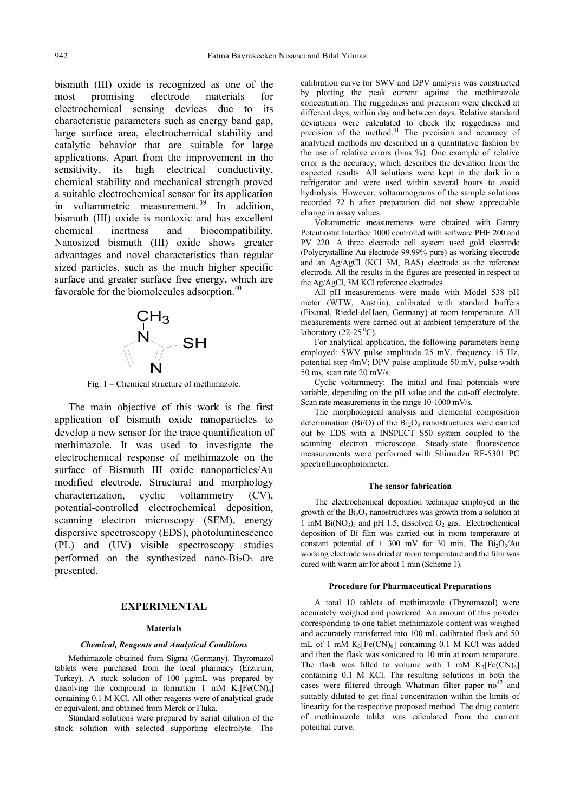bismuth (III) oxide is recognized as one of the most promising electrode materials for electrochemical sensing devices due to its characteristic parameters such as energy band gap, large surface area, electrochemical stability and catalytic behavior that are suitable for large applications. Apart from the improvement in the sensitivity, its high electrical conductivity, chemical stability and mechanical strength proved a suitable electrochemical sensor for its application in voltammetric measurement.<sup>39</sup> In addition, bismuth (III) oxide is nontoxic and has excellent chemical inertness and biocompatibility. Nanosized bismuth (III) oxide shows greater advantages and novel characteristics than regular sized particles, such as the much higher specific surface and greater surface free energy, which are favorable for the biomolecules adsorption.<sup>40</sup>



Fig. 1 – Chemical structure of methimazole.

The main objective of this work is the first application of bismuth oxide nanoparticles to develop a new sensor for the trace quantification of methimazole. It was used to investigate the electrochemical response of methimazole on the surface of Bismuth III oxide nanoparticles/Au modified electrode. Structural and morphology characterization, cyclic voltammetry (CV), potential-controlled electrochemical deposition, scanning electron microscopy (SEM), energy dispersive spectroscopy (EDS), photoluminescence (PL) and (UV) visible spectroscopy studies performed on the synthesized nano- $Bi<sub>2</sub>O<sub>3</sub>$  are presented.

#### **EXPERIMENTAL**

#### **Materials**

#### *Chemical, Reagents and Analytical Conditions*

Methimazole obtained from Sigma (Germany). Thyromazol tablets were purchased from the local pharmacy (Erzurum, Turkey). A stock solution of 100 µg/mL was prepared by dissolving the compound in formation 1 mM  $K_3[Fe(CN)_6]$ containing 0.1 M KCl. All other reagents were of analytical grade or equivalent, and obtained from Merck or Fluka.

Standard solutions were prepared by serial dilution of the stock solution with selected supporting electrolyte. The calibration curve for SWV and DPV analysis was constructed by plotting the peak current against the methimazole concentration. The ruggedness and precision were checked at different days, within day and between days. Relative standard deviations were calculated to check the ruggedness and precision of the method.<sup>41</sup> The precision and accuracy of analytical methods are described in a quantitative fashion by the use of relative errors (bias %). One example of relative error is the accuracy, which describes the deviation from the expected results. All solutions were kept in the dark in a refrigerator and were used within several hours to avoid hydrolysis. However, voltammograms of the sample solutions recorded 72 h after preparation did not show appreciable change in assay values.

Voltammetric measurements were obtained with Gamry Potentiostat Interface 1000 controlled with software PHE 200 and PV 220. A three electrode cell system used gold electrode (Polycrystalline Au electrode 99.99% pure) as working electrode and an Ag/AgCl (KCl 3M, BAS) electrode as the reference electrode. All the results in the figures are presented in respect to the Ag/AgCl, 3M KCl reference electrodes.

All pH measurements were made with Model 538 pH meter (WTW, Austria), calibrated with standard buffers (Fixanal, Riedel-deHaen, Germany) at room temperature. All measurements were carried out at ambient temperature of the laboratory (22-25 $\mathrm{^0C}$ ).

For analytical application, the following parameters being employed: SWV pulse amplitude 25 mV, frequency 15 Hz, potential step 4mV; DPV pulse amplitude 50 mV, pulse width 50 ms, scan rate 20 mV/s.

Cyclic voltammetry: The initial and final potentials were variable, depending on the pH value and the cut-off electrolyte. Scan rate measurements in the range 10-1000 mV/s.

The morphological analysis and elemental composition determination  $(Bi/O)$  of the  $Bi<sub>2</sub>O<sub>3</sub>$  nanostructures were carried out by EDS with a INSPECT S50 system coupled to the scanning electron microscope. Steady-state fluorescence measurements were performed with Shimadzu RF-5301 PC spectrofluorophotometer.

#### **The sensor fabrication**

The electrochemical deposition technique employed in the growth of the  $Bi<sub>2</sub>O<sub>3</sub>$  nanostructures was growth from a solution at 1 mM  $Bi(NO<sub>3</sub>)$ <sub>3</sub> and pH 1.5, dissolved  $O<sub>2</sub>$  gas. Electrochemical deposition of Bi film was carried out in room temperature at constant potential of + 300 mV for 30 min. The  $Bi_2O_3/Au$ working electrode was dried at room temperature and the film was cured with warm air for about 1 min (Scheme 1).

#### **Procedure for Pharmaceutical Preparations**

A total 10 tablets of methimazole (Thyromazol) were accurately weighed and powdered. An amount of this powder corresponding to one tablet methimazole content was weighed and accurately transferred into 100 mL calibrated flask and 50 mL of 1 mM  $K_3[Fe(CN)_6]$  containing 0.1 M KCl was added and then the flask was sonicated to 10 min at room tempature. The flask was filled to volume with 1 mM  $K_3[Fe(CN)_6]$ containing 0.1 M KCl. The resulting solutions in both the cases were filtered through Whatman filter paper no<sup>42</sup> and suitably diluted to get final concentration within the limits of linearity for the respective proposed method. The drug content of methimazole tablet was calculated from the current potential curve.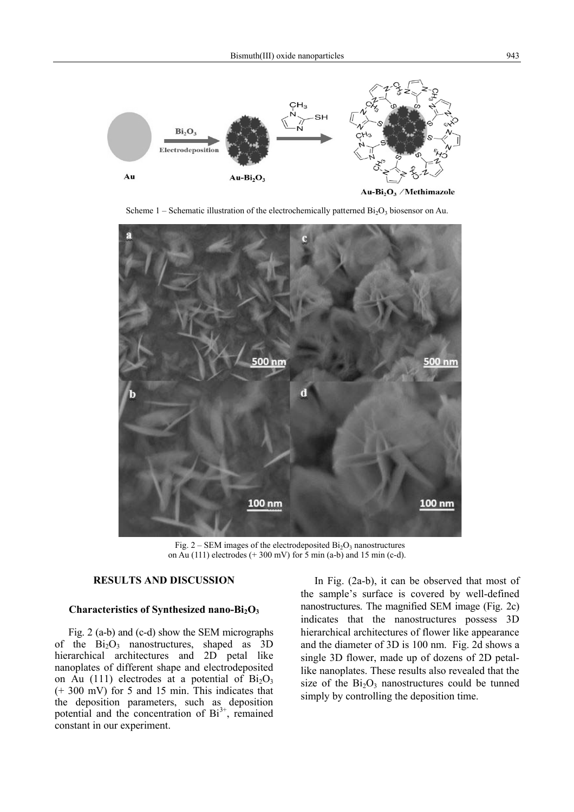

Scheme  $1$  – Schematic illustration of the electrochemically patterned  $Bi<sub>2</sub>O<sub>3</sub>$  biosensor on Au.



Fig. 2 – SEM images of the electrodeposited  $Bi<sub>2</sub>O<sub>3</sub>$  nanostructures on Au (111) electrodes  $(+ 300 \text{ mV})$  for  $\overline{5}$  min (a-b) and 15 min (c-d).

# **RESULTS AND DISCUSSION**

### Characteristics of Synthesized nano-Bi<sub>2</sub>O<sub>3</sub>

Fig. 2 (a-b) and (c-d) show the SEM micrographs of the  $Bi<sub>2</sub>O<sub>3</sub>$  nanostructures, shaped as 3D hierarchical architectures and 2D petal like nanoplates of different shape and electrodeposited on Au (111) electrodes at a potential of  $Bi<sub>2</sub>O<sub>3</sub>$ (+ 300 mV) for 5 and 15 min. This indicates that the deposition parameters, such as deposition potential and the concentration of  $Bi^{3+}$ , remained constant in our experiment.

In Fig. (2a-b), it can be observed that most of the sample's surface is covered by well-defined nanostructures. The magnified SEM image (Fig. 2c) indicates that the nanostructures possess 3D hierarchical architectures of flower like appearance and the diameter of 3D is 100 nm. Fig. 2d shows a single 3D flower, made up of dozens of 2D petallike nanoplates. These results also revealed that the size of the  $Bi<sub>2</sub>O<sub>3</sub>$  nanostructures could be tunned simply by controlling the deposition time.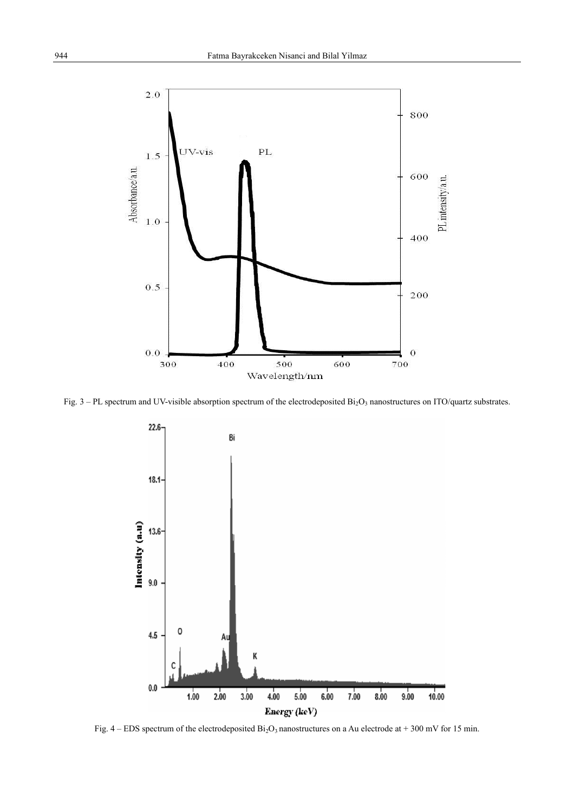

Fig.  $3$  – PL spectrum and UV-visible absorption spectrum of the electrodeposited  $Bi<sub>2</sub>O<sub>3</sub>$  nanostructures on ITO/quartz substrates.



Fig.  $4 - EDS$  spectrum of the electrodeposited  $Bi<sub>2</sub>O<sub>3</sub>$  nanostructures on a Au electrode at + 300 mV for 15 min.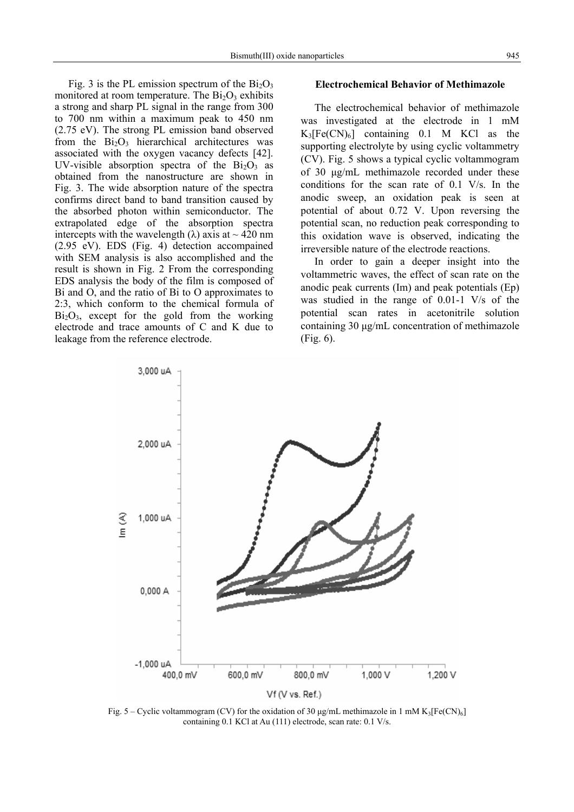Fig. 3 is the PL emission spectrum of the  $Bi<sub>2</sub>O<sub>3</sub>$ monitored at room temperature. The  $Bi<sub>2</sub>O<sub>3</sub>$  exhibits a strong and sharp PL signal in the range from 300 to 700 nm within a maximum peak to 450 nm (2.75 eV). The strong PL emission band observed from the  $Bi<sub>2</sub>O<sub>3</sub>$  hierarchical architectures was associated with the oxygen vacancy defects [42]. UV-visible absorption spectra of the  $Bi_2O_3$  as obtained from the nanostructure are shown in Fig. 3. The wide absorption nature of the spectra confirms direct band to band transition caused by the absorbed photon within semiconductor. The extrapolated edge of the absorption spectra intercepts with the wavelength ( $\lambda$ ) axis at  $\sim$  420 nm (2.95 eV). EDS (Fig. 4) detection accompained with SEM analysis is also accomplished and the result is shown in Fig. 2 From the corresponding EDS analysis the body of the film is composed of Bi and O, and the ratio of Bi to O approximates to 2:3, which conform to the chemical formula of  $Bi<sub>2</sub>O<sub>3</sub>$ , except for the gold from the working electrode and trace amounts of C and K due to leakage from the reference electrode.

### **Electrochemical Behavior of Methimazole**

The electrochemical behavior of methimazole was investigated at the electrode in 1 mM  $K_3[Fe(CN)_6]$  containing 0.1 M KCl as the supporting electrolyte by using cyclic voltammetry (CV). Fig. 5 shows a typical cyclic voltammogram of 30 µg/mL methimazole recorded under these conditions for the scan rate of 0.1 V/s. In the anodic sweep, an oxidation peak is seen at potential of about 0.72 V. Upon reversing the potential scan, no reduction peak corresponding to this oxidation wave is observed, indicating the irreversible nature of the electrode reactions.

In order to gain a deeper insight into the voltammetric waves, the effect of scan rate on the anodic peak currents (Im) and peak potentials (Ep) was studied in the range of 0.01-1 V/s of the potential scan rates in acetonitrile solution containing 30 µg/mL concentration of methimazole (Fig. 6).



Fig. 5 – Cyclic voltammogram (CV) for the oxidation of 30  $\mu$ g/mL methimazole in 1 mM K<sub>3</sub>[Fe(CN)<sub>6</sub>] containing 0.1 KCl at Au (111) electrode, scan rate: 0.1 V/s.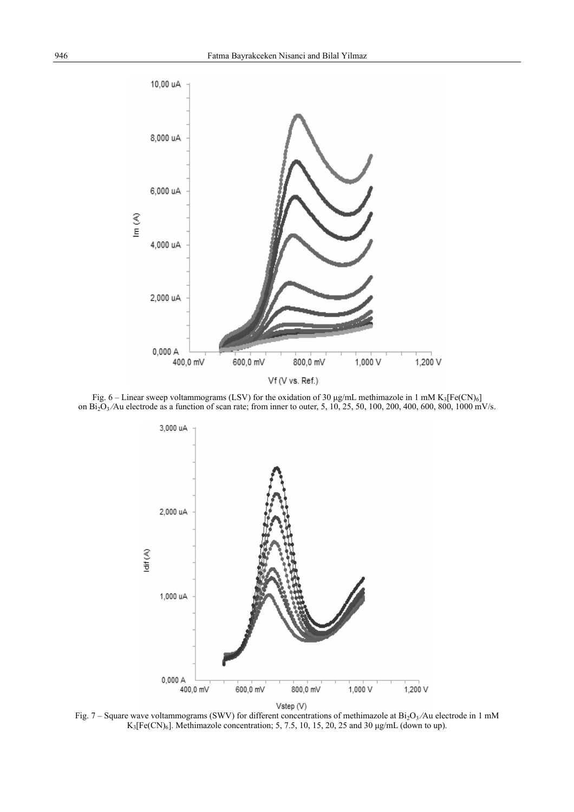

Fig. 6 – Linear sweep voltammograms (LSV) for the oxidation of 30  $\mu$ g/mL methimazole in 1 mM K<sub>3</sub>[Fe(CN)<sub>6</sub>] on Bi<sub>2</sub>O<sub>3</sub>/Au electrode as a function of scan rate; from inner to outer, 5, 10, 25, 50, 100, 200, 400, 600, 800, 1000 mV/s.



Fig. 7 – Square wave voltammograms (SWV) for different concentrations of methimazole at  $Bi_2O_3/Au$  electrode in 1 mM  $K_3[Fe(CN)_6]$ . Methimazole concentration; 5, 7.5, 10, 15, 20, 25 and 30  $\mu$ g/mL (down to up).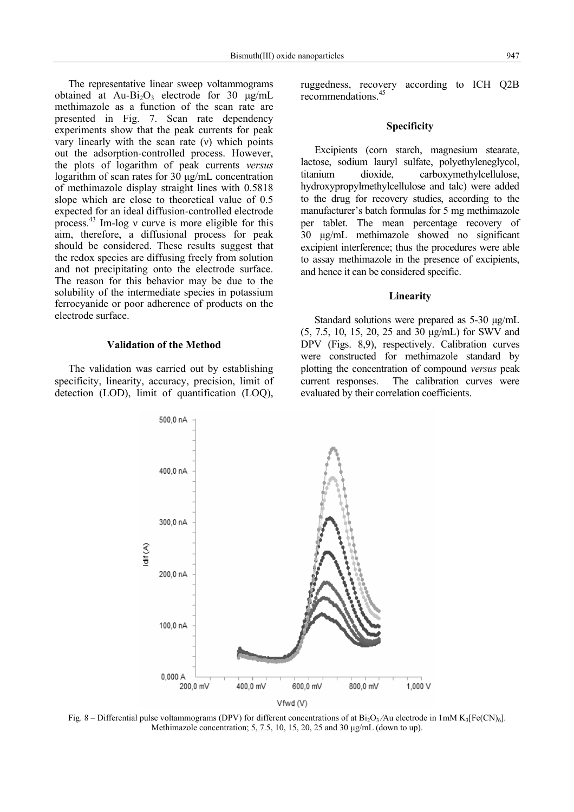The representative linear sweep voltammograms obtained at  $Au-Bi<sub>2</sub>O<sub>3</sub>$  electrode for 30  $\mu$ g/mL methimazole as a function of the scan rate are presented in Fig. 7. Scan rate dependency experiments show that the peak currents for peak vary linearly with the scan rate (ν) which points out the adsorption-controlled process. However, the plots of logarithm of peak currents *versus* logarithm of scan rates for  $30 \mu g/mL$  concentration of methimazole display straight lines with 0.5818 slope which are close to theoretical value of 0.5 expected for an ideal diffusion-controlled electrode process.<sup>43</sup> Im-log v curve is more eligible for this aim, therefore, a diffusional process for peak should be considered. These results suggest that the redox species are diffusing freely from solution and not precipitating onto the electrode surface. The reason for this behavior may be due to the solubility of the intermediate species in potassium ferrocyanide or poor adherence of products on the electrode surface.

# **Validation of the Method**

The validation was carried out by establishing specificity, linearity, accuracy, precision, limit of detection (LOD), limit of quantification (LOQ),

500.0 nA

ruggedness, recovery according to ICH Q2B recommendations.<sup>45</sup>

#### **Specificity**

Excipients (corn starch, magnesium stearate, lactose, sodium lauryl sulfate, polyethyleneglycol, titanium dioxide, carboxymethylcellulose, hydroxypropylmethylcellulose and talc) were added to the drug for recovery studies, according to the manufacturer's batch formulas for 5 mg methimazole per tablet. The mean percentage recovery of 30 µg/mL methimazole showed no significant excipient interference; thus the procedures were able to assay methimazole in the presence of excipients, and hence it can be considered specific.

#### **Linearity**

Standard solutions were prepared as 5-30  $\mu$ g/mL (5, 7.5, 10, 15, 20, 25 and 30 µg/mL) for SWV and DPV (Figs. 8,9), respectively. Calibration curves were constructed for methimazole standard by plotting the concentration of compound *versus* peak current responses. The calibration curves were evaluated by their correlation coefficients.



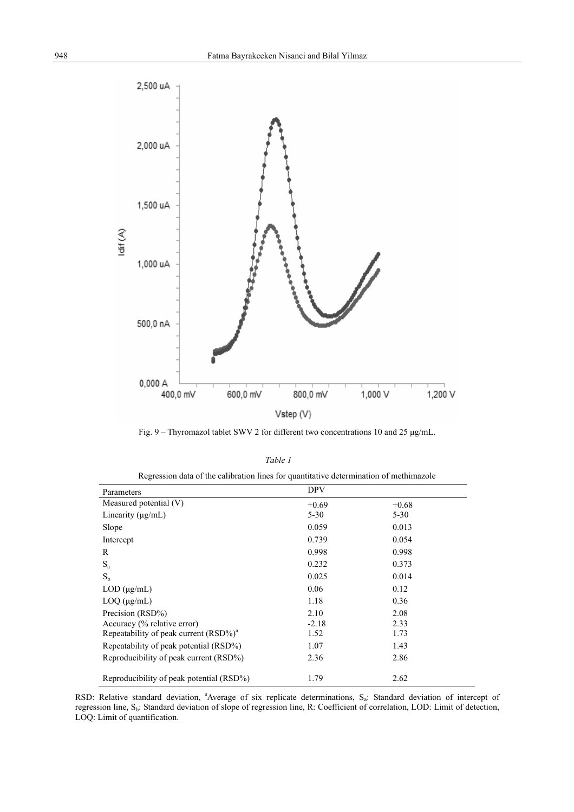

Fig. 9 – Thyromazol tablet SWV 2 for different two concentrations 10 and 25 µg/mL.

| Regression data of the calibration lines for quantitative determination of methimazole |            |          |  |  |
|----------------------------------------------------------------------------------------|------------|----------|--|--|
| Parameters                                                                             | <b>DPV</b> |          |  |  |
| Measured potential (V)                                                                 | $+0.69$    | $+0.68$  |  |  |
| Linearity $(\mu g/mL)$                                                                 | $5 - 30$   | $5 - 30$ |  |  |
| Slope                                                                                  | 0.059      | 0.013    |  |  |
| Intercept                                                                              | 0.739      | 0.054    |  |  |
| R                                                                                      | 0.998      | 0.998    |  |  |
| $S_{a}$                                                                                | 0.232      | 0.373    |  |  |
| $S_b$                                                                                  | 0.025      | 0.014    |  |  |
| $LOD$ ( $\mu$ g/mL)                                                                    | 0.06       | 0.12     |  |  |
| $LOQ$ ( $\mu$ g/mL)                                                                    | 1.18       | 0.36     |  |  |
| Precision (RSD%)                                                                       | 2.10       | 2.08     |  |  |
| Accuracy (% relative error)                                                            | $-2.18$    | 2.33     |  |  |
| Repeatability of peak current (RSD%) <sup>a</sup>                                      | 1.52       | 1.73     |  |  |
| Repeatability of peak potential (RSD%)                                                 | 1.07       | 1.43     |  |  |
| Reproducibility of peak current (RSD%)                                                 | 2.36       | 2.86     |  |  |
| Reproducibility of peak potential (RSD%)                                               | 1.79       | 2.62     |  |  |

Regression data of the calibration lines for quantitative determination of methimazole

*Table 1*

RSD: Relative standard deviation, <sup>a</sup>Average of six replicate determinations, S<sub>a</sub>: Standard deviation of intercept of regression line, S<sub>b</sub>: Standard deviation of slope of regression line, R: Coefficient of correlation, LOD: Limit of detection, LOQ: Limit of quantification.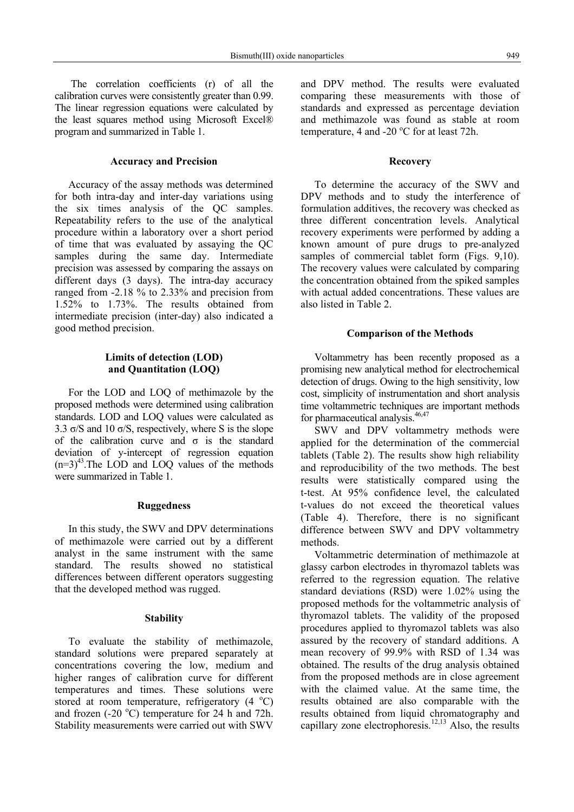The correlation coefficients (r) of all the calibration curves were consistently greater than 0.99. The linear regression equations were calculated by the least squares method using Microsoft Excel® program and summarized in Table 1.

#### **Accuracy and Precision**

Accuracy of the assay methods was determined for both intra-day and inter-day variations using the six times analysis of the QC samples. Repeatability refers to the use of the analytical procedure within a laboratory over a short period of time that was evaluated by assaying the QC samples during the same day. Intermediate precision was assessed by comparing the assays on different days (3 days). The intra-day accuracy ranged from -2.18 % to 2.33% and precision from 1.52% to 1.73%. The results obtained from intermediate precision (inter-day) also indicated a good method precision.

# **Limits of detection (LOD) and Quantitation (LOQ)**

For the LOD and LOQ of methimazole by the proposed methods were determined using calibration standards. LOD and LOQ values were calculated as 3.3  $\sigma$ /S and 10  $\sigma$ /S, respectively, where S is the slope of the calibration curve and  $\sigma$  is the standard deviation of y-intercept of regression equation  $(n=3)^{43}$ . The LOD and LOQ values of the methods were summarized in Table 1.

### **Ruggedness**

In this study, the SWV and DPV determinations of methimazole were carried out by a different analyst in the same instrument with the same standard. The results showed no statistical differences between different operators suggesting that the developed method was rugged.

#### **Stability**

To evaluate the stability of methimazole, standard solutions were prepared separately at concentrations covering the low, medium and higher ranges of calibration curve for different temperatures and times. These solutions were stored at room temperature, refrigeratory  $(4 \text{ }^{\circ}C)$ and frozen  $(-20 °C)$  temperature for 24 h and 72h. Stability measurements were carried out with SWV

and DPV method. The results were evaluated comparing these measurements with those of standards and expressed as percentage deviation and methimazole was found as stable at room temperature, 4 and -20  $^{\circ}$ C for at least 72h.

#### **Recovery**

To determine the accuracy of the SWV and DPV methods and to study the interference of formulation additives, the recovery was checked as three different concentration levels. Analytical recovery experiments were performed by adding a known amount of pure drugs to pre-analyzed samples of commercial tablet form (Figs. 9,10). The recovery values were calculated by comparing the concentration obtained from the spiked samples with actual added concentrations. These values are also listed in Table 2.

### **Comparison of the Methods**

Voltammetry has been recently proposed as a promising new analytical method for electrochemical detection of drugs. Owing to the high sensitivity, low cost, simplicity of instrumentation and short analysis time voltammetric techniques are important methods for pharmaceutical analysis.46,47

SWV and DPV voltammetry methods were applied for the determination of the commercial tablets (Table 2). The results show high reliability and reproducibility of the two methods. The best results were statistically compared using the t-test. At 95% confidence level, the calculated t-values do not exceed the theoretical values (Table 4). Therefore, there is no significant difference between SWV and DPV voltammetry methods.

Voltammetric determination of methimazole at glassy carbon electrodes in thyromazol tablets was referred to the regression equation. The relative standard deviations (RSD) were 1.02% using the proposed methods for the voltammetric analysis of thyromazol tablets. The validity of the proposed procedures applied to thyromazol tablets was also assured by the recovery of standard additions. A mean recovery of 99.9% with RSD of 1.34 was obtained. The results of the drug analysis obtained from the proposed methods are in close agreement with the claimed value. At the same time, the results obtained are also comparable with the results obtained from liquid chromatography and capillary zone electrophoresis.<sup>12,13</sup> Also, the results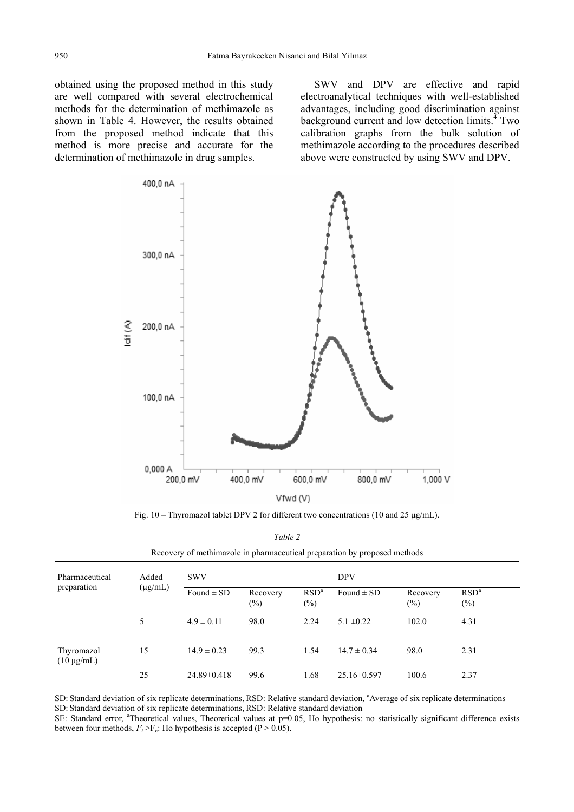obtained using the proposed method in this study are well compared with several electrochemical methods for the determination of methimazole as shown in Table 4. However, the results obtained from the proposed method indicate that this method is more precise and accurate for the determination of methimazole in drug samples.

SWV and DPV are effective and rapid electroanalytical techniques with well-established advantages, including good discrimination against background current and low detection  $\lim$ its.<sup>4</sup> Two calibration graphs from the bulk solution of methimazole according to the procedures described above were constructed by using SWV and DPV.



Fig. 10 – Thyromazol tablet DPV 2 for different two concentrations (10 and 25 µg/mL).

*Table 2*

|  |  |  | Recovery of methimazole in pharmaceutical preparation by proposed methods |
|--|--|--|---------------------------------------------------------------------------|

| Pharmaceutical<br>preparation | Added<br>$(\mu g/mL)$ | <b>SWV</b>        |                    |                            | <b>DPV</b>        |                               |                            |
|-------------------------------|-----------------------|-------------------|--------------------|----------------------------|-------------------|-------------------------------|----------------------------|
|                               |                       | Found $\pm$ SD    | Recovery<br>$(\%)$ | RSD <sup>a</sup><br>$(\%)$ | Found $\pm$ SD    | Recovery<br>$\left(\%\right)$ | RSD <sup>a</sup><br>$(\%)$ |
|                               | 5                     | $4.9 \pm 0.11$    | 98.0               | 2.24                       | $5.1 \pm 0.22$    | 102.0                         | 4.31                       |
| Thyromazol<br>$(10 \mu g/mL)$ | 15                    | $14.9 \pm 0.23$   | 99.3               | 1.54                       | $14.7 \pm 0.34$   | 98.0                          | 2.31                       |
|                               | 25                    | $24.89 \pm 0.418$ | 99.6               | 1.68                       | $25.16 \pm 0.597$ | 100.6                         | 2.37                       |

SD: Standard deviation of six replicate determinations, RSD: Relative standard deviation, <sup>a</sup>Average of six replicate determinations SD: Standard deviation of six replicate determinations, RSD: Relative standard deviation

SE: Standard error, <sup>a</sup>Theoretical values, Theoretical values at p=0.05, Ho hypothesis: no statistically significant difference exists between four methods,  $F_t > F_c$ : Ho hypothesis is accepted (P  $> 0.05$ ).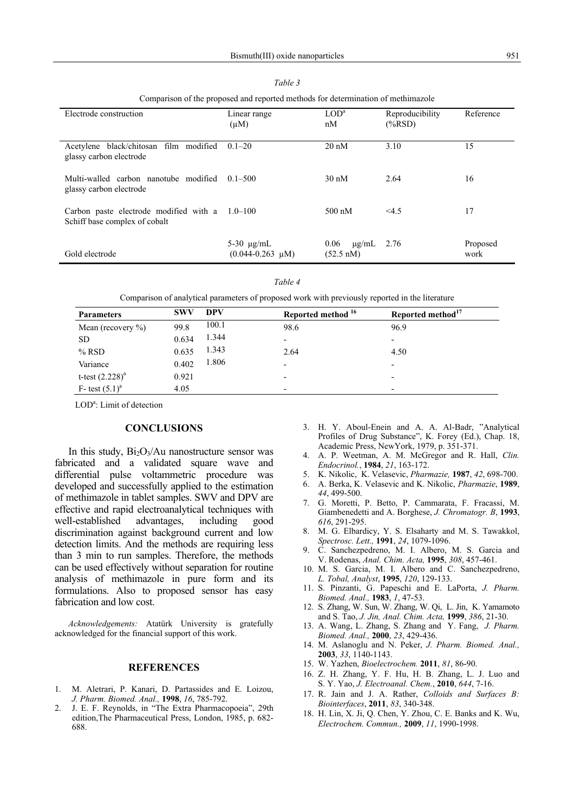| Comparison or the proposed and reported memods for determination or memmiazore    |                                            |                                           |                              |                  |  |
|-----------------------------------------------------------------------------------|--------------------------------------------|-------------------------------------------|------------------------------|------------------|--|
| Electrode construction                                                            | Linear range<br>$(\mu M)$                  | LOD <sup>a</sup><br>nM                    | Reproducibility<br>$(\%RSD)$ | Reference        |  |
| Acetylene black/chitosan film modified<br>glassy carbon electrode                 | $0.1 - 20$                                 | $20 \text{ nM}$                           | 3.10                         | 15               |  |
| Multi-walled carbon nanotube modified<br>glassy carbon electrode                  | $0.1 - 500$                                | $30 \text{ nM}$                           | 2.64                         | 16               |  |
| Carbon paste electrode modified with a $1.0-100$<br>Schiff base complex of cobalt |                                            | $500 \text{ nM}$                          | <4.5                         | 17               |  |
| Gold electrode                                                                    | 5-30 $\mu$ g/mL<br>$(0.044 - 0.263 \mu M)$ | 0.06<br>$\mu$ g/mL<br>$(52.5 \text{ nM})$ | 2.76                         | Proposed<br>work |  |

*Table 3*

Comparison of the proposed and reported methods for determination of methimazole

*Table 4*

Comparison of analytical parameters of proposed work with previously reported in the literature

| <b>Parameters</b>     | <b>SWV</b> | <b>DPV</b> | Reported method <sup>16</sup> | Reported method <sup>17</sup> |
|-----------------------|------------|------------|-------------------------------|-------------------------------|
| Mean (recovery $\%$ ) | 99.8       | 100.1      | 98.6                          | 96.9                          |
| <b>SD</b>             | 0.634      | 1.344      | $\qquad \qquad \blacksquare$  | -                             |
| $%$ RSD               | 0.635      | 1.343      | 2.64                          | 4.50                          |
| Variance              | 0.402      | 1.806      | $\overline{\phantom{a}}$      | $\overline{\phantom{0}}$      |
| t-test $(2.228)^a$    | 0.921      |            | $\overline{\phantom{a}}$      | -                             |
| F- test $(5.1)^{a}$   | 4.05       |            | $\overline{\phantom{a}}$      | -                             |

LOD<sup>a</sup>: Limit of detection

### **CONCLUSIONS**

In this study,  $Bi<sub>2</sub>O<sub>3</sub>/Au$  nanostructure sensor was fabricated and a validated square wave and differential pulse voltammetric procedure was developed and successfully applied to the estimation of methimazole in tablet samples. SWV and DPV are effective and rapid electroanalytical techniques with<br>well-established advantages, including good well-established advantages, including discrimination against background current and low detection limits. And the methods are requiring less than 3 min to run samples. Therefore, the methods can be used effectively without separation for routine analysis of methimazole in pure form and its formulations. Also to proposed sensor has easy fabrication and low cost.

*Acknowledgements:* Atatürk University is gratefully acknowledged for the financial support of this work.

#### **REFERENCES**

- 1. M. Aletrari, P. Kanari, D. Partassides and E. Loizou, *J. Pharm. Biomed. Anal.,* **1998**, *16*, 785-792.
- 2. J. E. F. Reynolds, in "The Extra Pharmacopoeia", 29th edition,The Pharmaceutical Press, London, 1985, p. 682- 688.
- 3. H. Y. Aboul-Enein and A. A. Al-Badr, "Analytical Profiles of Drug Substance", K. Forey (Ed.), Chap. 18, Academic Press, NewYork, 1979, p. 351-371.
- 4. A. P. Weetman, A. M. McGregor and R. Hall, *Clin. Endocrinol.*, **1984**, *21*, 163-172.
- 5. K. Nikolic, K. Velasevic, *Pharmazie,* **1987**, *42*, 698-700.
- 6. A. Berka, K. Velasevic and K. Nikolic, *Pharmazie*, **1989**, *44*, 499-500.
- 7. G. Moretti, P. Betto, P. Cammarata, F. Fracassi, M. Giambenedetti and A. Borghese, *J. Chromatogr. B*, **1993**, *616*, 291-295.
- 8. M. G. Elbardicy, Y. S. Elsaharty and M. S. Tawakkol, *Spectrosc. Lett.,* **1991**, *24*, 1079-1096.
- 9. C. Sanchezpedreno, M. I. Albero, M. S. Garcia and V. Rodenas, *Anal. Chim. Acta,* **1995**, *308*, 457-461.
- 10. M. S. Garcia, M. I. Albero and C. Sanchezpedreno, *L. Tobal, Analyst*, **1995**, *120*, 129-133.
- 11. S. Pinzanti, G. Papeschi and E. LaPorta, *J. Pharm. Biomed. Anal.,* **1983**, *1*, 47-53.
- 12. S. Zhang, W. Sun, W. Zhang, W. Qi, L. Jin, K. Yamamoto and S. Tao, *J. Jin, Anal. Chim. Acta,* **1999**, *386*, 21-30.
- 13. A. Wang, L. Zhang, S. Zhang and Y. Fang, *J. Pharm. Biomed. Anal.,* **2000**, *23*, 429-436.
- 14. M. Aslanoglu and N. Peker, *J. Pharm. Biomed. Anal.,* **2003**, *33*, 1140-1143.
- 15. W. Yazhen, *Bioelectrochem.* **2011**, *81*, 86-90.
- 16. Z. H. Zhang, Y. F. Hu, H. B. Zhang, L. J. Luo and S. Y. Yao, *J. Electroanal. Chem.*, **2010**, *644*, 7-16.
- 17. R. Jain and J. A. Rather, *Colloids and Surfaces B: Biointerfaces*, **2011**, *83*, 340-348.
- 18. H. Lin, X. Ji, Q. Chen, Y. Zhou, C. E. Banks and K. Wu, *Electrochem. Commun.,* **2009**, *11*, 1990-1998.